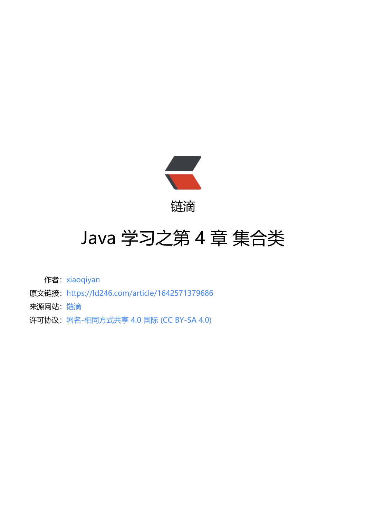

链滴

# Java 学习[之第 4](https://ld246.com) 章 集合类

作者: xiaoqiyan

- 原文链接:https://ld246.com/article/1642571379686
- 来源网站: [链滴](https://ld246.com/member/xiaoqiyan)
- 许可协议:[署名-相同方式共享 4.0 国际 \(CC BY-SA 4.0\)](https://ld246.com/article/1642571379686)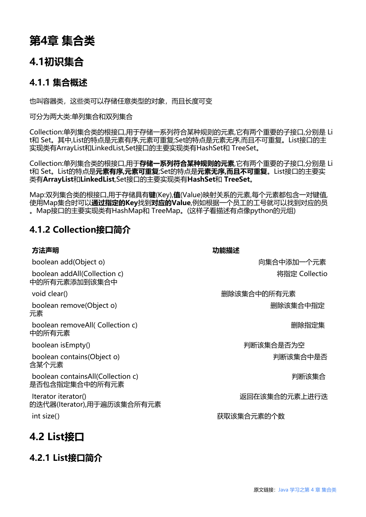# **第4章 集合类**

### **4.1初识集合**

#### **4.1.1 集合概述**

也叫容器类,这些类可以存储任意类型的对象,而且长度可变

可分为两大类:单列集合和双列集合

Collection:单列集合类的根接口,用于存储一系列符合某种规则的元素,它有两个重要的子接口,分别是 Li t和 Set。其中,List的特点是元素有序,元素可重复;Set的特点是元素无序,而且不可重复。List接口的主 实现类有ArrayList和LinkedList,Set接口的主要实现类有HashSet和 TreeSet。

Collection:单列集合类的根接口,用于**存储一系列符合某种规则的元素**,它有两个重要的子接口,分别是 Li t和 Set。List的特点是**元素有序,元素可重复**;Set的特点是**元素无序,而且不可重复**。List接口的主要实 类有**ArrayList**和**LinkedList**,Set接口的主要实现类有**HashSet**和 **TreeSet**。

Map:双列集合类的根接口,用于存储具有**键**(Key),**值**(Value)映射关系的元素,每个元素都包含一对键值, 使用Map集合时可以**通过指定的Key**找到**对应的Value**,例如根据一个员工的工号就可以找到对应的员 。Map接口的主要实现类有HashMap和 TreeMap。(这样子看描述有点像python的元组)

#### **4.1.2 Collection接口简介**

**4.2.1 List接口简介**

| 方法声明                                                | 功能描述          |
|-----------------------------------------------------|---------------|
| boolean add(Object o)                               | 向集合中添加一个元素    |
| boolean addAll(Collection c)<br>中的所有元素添加到该集合中       | 将指定 Collectio |
| void clear()                                        | 删除该集合中的所有元素   |
| boolean remove(Object o)<br>元素                      | 删除该集合中指定      |
| boolean removeAll(Collection c)<br>中的所有元素           | 删除指定集         |
| boolean is Empty()                                  | 判断该集合是否为空     |
| boolean contains(Object o)<br>含某个元素                 | 判断该集合中是否      |
| boolean containsAll(Collection c)<br>是否包含指定集合中的所有元素 | 判断该集合         |
| Iterator iterator()<br>的迭代器(Iterator),用于遍历该集合所有元素   | 返回在该集合的元素上进行迭 |
| int size()                                          | 获取该集合元素的个数    |
| 4.2 List接                                           |               |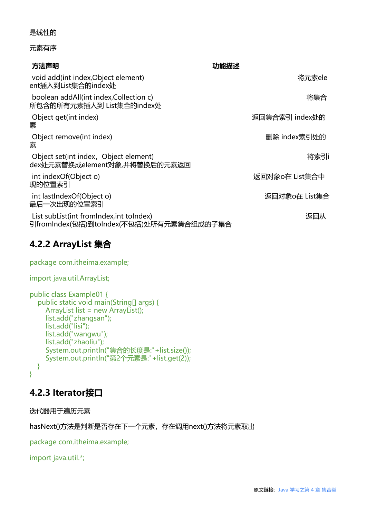#### 是线性的

#### 元素有序

| 方法声明                                                                                 | 功能描述           |
|--------------------------------------------------------------------------------------|----------------|
| void add(int index, Object element)<br>ent插入到List集合的index处                           | 将元素ele         |
| boolean addAll(int index, Collection c)<br>所包含的所有元素插人到 List集合的index处                 | 将集合            |
| Object get(int index)<br>素                                                           | 返回集合索引 index处的 |
| Object remove(int index)<br>素                                                        | 删除 index索引处的   |
| Object set(int index, Object element)<br>dex处元素替换成element对象,并将替换后的元素返回               | 将索引i           |
| int indexOf(Object o)<br>现的位置索引                                                      | 返回对象o在 List集合中 |
| int lastIndexOf(Object o)<br>最后一次出现的位置索引                                             | 返回对象o在 List集合  |
| List subList(int fromIndex, int toIndex)<br>引fromIndex(包括)到toIndex(不包括)处所有元素集合组成的子集合 | 返回从            |

# **4.2.2 ArrayList 集合**

| package com.itheima.example; |
|------------------------------|
|                              |

#### import java.util.ArrayList;

```
public class Example01 {
   public static void main(String[] args) {
     ArrayList list = new ArrayList();
      list.add("zhangsan");
      list.add("lisi");
      list.add("wangwu");
      list.add("zhaoliu");
      System.out.println("集合的长度是:"+list.size());
      System.out.println("第2个元素是:"+list.get(2));
   }
}
```
### **4.2.3 lterator接口**

迭代器用于遍历元素

hasNext()方法是判断是否存在下一个元素,存在调用next()方法将元素取出

package com.itheima.example;

import java.util.\*;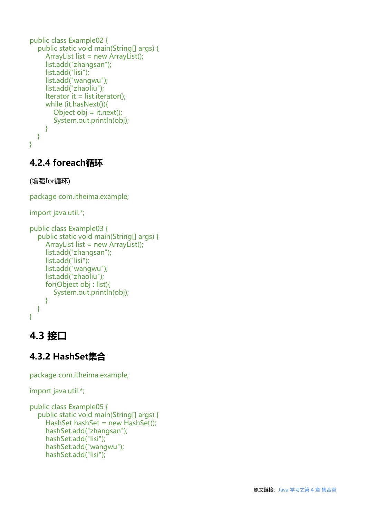```
public class Example02 {
    public static void main(String[] args) {
      ArrayList list = new ArrayList();
      list.add("zhangsan");
      list.add("lisi");
      list.add("wangwu");
      list.add("zhaoliu");
     Iterator it = list.iterator();
      while (it.hasNext()){
        Object obj = it.next();
         System.out.println(obj);
      }
   }
}
```
### **4.2.4 foreach循环**

#### (增强for循环)

package com.itheima.example;

```
import java.util.*;
```

```
public class Example03 {
    public static void main(String[] args) {
     ArrayList list = new ArrayList();
      list.add("zhangsan");
      list.add("lisi");
      list.add("wangwu");
      list.add("zhaoliu");
      for(Object obj : list){
         System.out.println(obj);
      }
   }
}
```
# **4.3 接口**

### **4.3.2 HashSet集合**

package com.itheima.example;

```
import java.util.*;
```

```
public class Example05 {
   public static void main(String[] args) {
     HashSet hashSet = new HashSet();
      hashSet.add("zhangsan");
      hashSet.add("lisi");
      hashSet.add("wangwu");
      hashSet.add("lisi");
```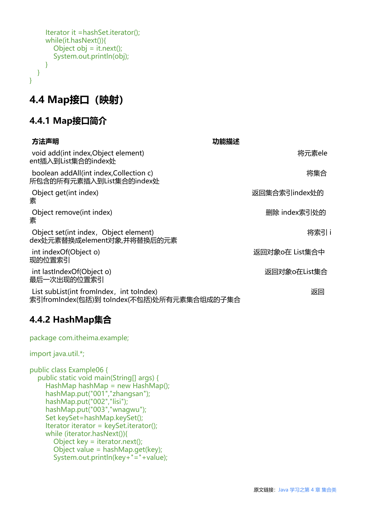```
 Iterator it =hashSet.iterator();
      while(it.hasNext()){
        Object obj = it.next();
         System.out.println(obj);
      }
   }
}
```
# **4.4 Map接口(映射)**

### **4.4.1 Map接口简介**

| 方法声明                                                                                   | 功能描述           |
|----------------------------------------------------------------------------------------|----------------|
| void add(int index, Object element)<br>ent插入到List集合的index处                             | 将元素ele         |
| boolean addAll(int index, Collection c)<br>所包含的所有元素插入到List集合的index处                    | 将集合            |
| Object get(int index)<br>素                                                             | 返回集合索引index处的  |
| Object remove(int index)<br>素                                                          | 删除 index索引处的   |
| Object set(int index, Object element)<br>dex处元素替换成element对象,并将替换后的元素                   | 将索引i           |
| int indexOf(Object o)<br>现的位置索引                                                        | 返回对象o在 List集合中 |
| int lastIndexOf(Object o)<br>最后一次出现的位置索引                                               | 返回对象o在List集合   |
| List subList(int fromIndex, int toIndex)<br>索引fromIndex(包括)到 toIndex(不包括)处所有元素集合组成的子集合 | 返回             |

### **4.4.2 HashMap集合**

package com.itheima.example;

import java.util.\*;

```
public class Example06 {
   public static void main(String[] args) {
    HashMap hashMap = new HashMap();
     hashMap.put("001","zhangsan");
     hashMap.put("002","lisi");
     hashMap.put("003","wnagwu");
     Set keySet=hashMap.keySet();
     Iterator iterator = keySet.iterator();
     while (iterator.hasNext()){
        Object key = iterator.next();
        Object value = hashMap.get(key);
        System.out.println(key+"="+value);
```